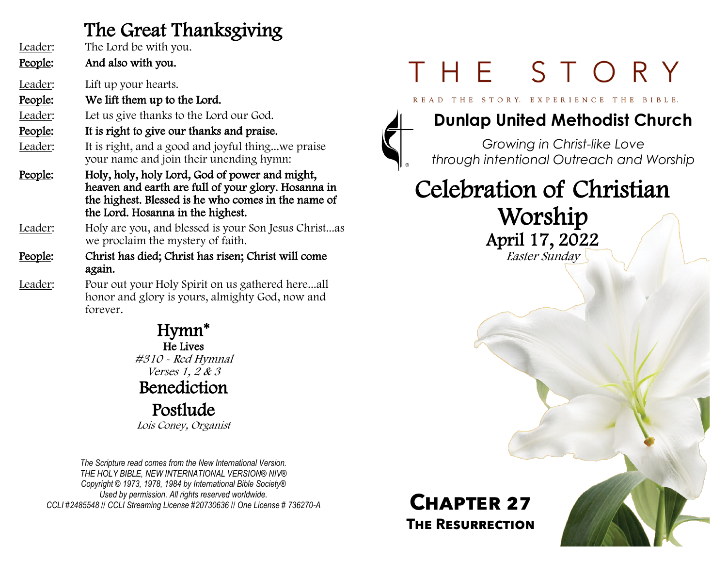#### The Great Thanksgiving

| Leader:<br>People: | The Lord be with you.<br>And also with you.                                                                                                                                                       |
|--------------------|---------------------------------------------------------------------------------------------------------------------------------------------------------------------------------------------------|
| Leader:            | Lift up your hearts.                                                                                                                                                                              |
| People:            | We lift them up to the Lord.                                                                                                                                                                      |
| Leader:            | Let us give thanks to the Lord our God.                                                                                                                                                           |
| People:            | It is right to give our thanks and praise.                                                                                                                                                        |
| Leader:            | It is right, and a good and joyful thingwe praise<br>your name and join their unending hymn:                                                                                                      |
| People:            | Holy, holy, holy Lord, God of power and might,<br>heaven and earth are full of your glory. Hosanna in<br>the highest. Blessed is he who comes in the name of<br>the Lord. Hosanna in the highest. |
| Leader:            | Holy are you, and blessed is your Son Jesus Christas<br>we proclaim the mystery of faith.                                                                                                         |
| People:            | Christ has died; Christ has risen; Christ will come<br>again.                                                                                                                                     |
| Leader:            | Pour out your Holy Spirit on us gathered hereall<br>honor and glory is yours, almighty God, now and<br>forever.                                                                                   |

Hymn\* He Lives #310 - Red Hymnal Verses 1, 2 & 3 Benediction Postlude Lois Coney, Organist

*The Scripture read comes from the New International Version. THE HOLY BIBLE, NEW INTERNATIONAL VERSION® NIV® Copyright © 1973, 1978, 1984 by International Bible Society® Used by permission. All rights reserved worldwide. CCLI #2485548* // *CCLI Streaming License #20730636* // *One License # 736270-A*

# THE STORY

READ THE STORY, EXPERIENCE THE BIBLE.



#### **Dunlap United Methodist Church**

*Growing in Christ-like Love through intentional Outreach and Worship*

### Celebration of Christian Worship April 17, 2022 Easter Sunday

#### **Chapter 27 The Resurrection**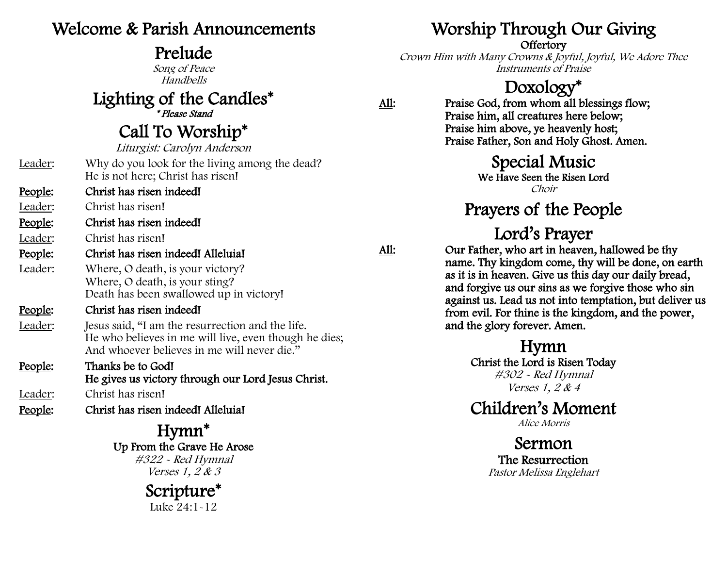#### Welcome & Parish Announcements

#### Prelude

Song of Peace Handbells

Lighting of the Candles\*

\* Please Stand

Call To Worship\*

Liturgist: Carolyn Anderson

- Leader: Why do you look for the living among the dead? He is not here; Christ has risen!
- People: Christ has risen indeed!

Leader: Christ has risen!

People: Christ has risen indeed!

Leader: Christ has risen!

- People: Christ has risen indeed! Alleluia!
- Leader: Where, O death, is your victory? Where, O death, is your sting? Death has been swallowed up in victory!

#### People: Christ has risen indeed!

- Leader: I lesus said, "I am the resurrection and the life. He who believes in me will live, even though he dies; And whoever believes in me will never die."
- People: Thanks be to God! He gives us victory through our Lord Jesus Christ. Leader: Christ has risen!
- People: Christ has risen indeed! Alleluia!

Hymn\* Up From the Grave He Arose #322 - Red Hymnal Verses 1, 2 & 3

### Scripture\*

Luke 24:1-12

### Worship Through Our Giving

#### **Offertory**

Crown Him with Many Crowns & Joyful, Joyful, We Adore Thee Instruments of Praise

#### Doxology\*

All: Praise God, from whom all blessings flow; Praise him, all creatures here below; Praise him above, ye heavenly host; Praise Father, Son and Holy Ghost. Amen.

#### Special Music

We Have Seen the Risen Lord Choir

### Prayers of the People

#### Lord's Prayer

All: Our Father, who art in heaven, hallowed be thy name. Thy kingdom come, thy will be done, on earth as it is in heaven. Give us this day our daily bread, and forgive us our sins as we forgive those who sin against us. Lead us not into temptation, but deliver us from evil. For thine is the kingdom, and the power, and the glory forever. Amen.

> Hymn Christ the Lord is Risen Today #302 - Red Hymnal Verses 1, 2 & 4

#### Children's Moment

Alice Morris

Sermon The Resurrection Pastor Melissa Englehart